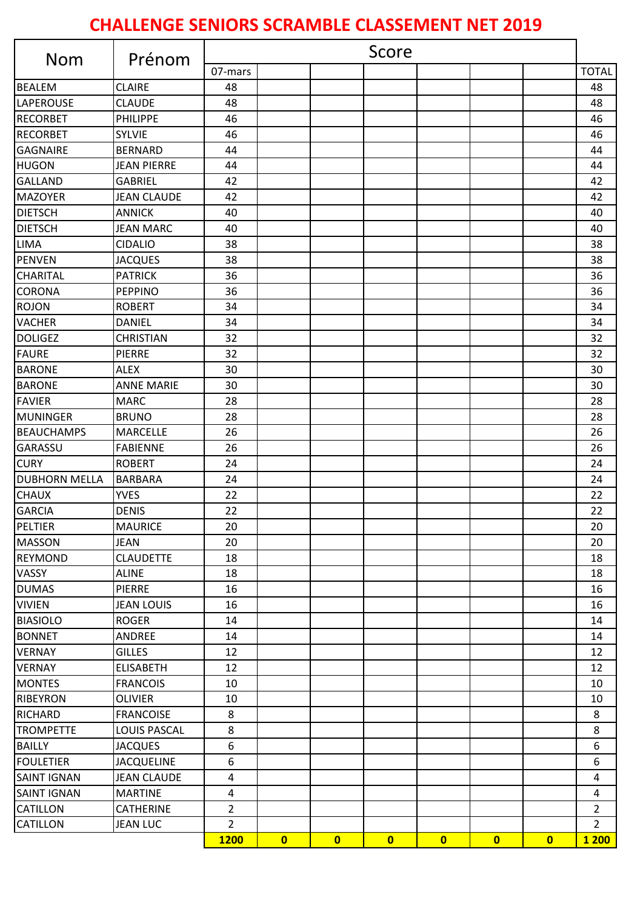## **CHALLENGE SENIORS SCRAMBLE CLASSEMENT NET 2019**

| <b>Nom</b>           | Prénom              | Score          |                         |                         |                         |                         |                         |                         |                |
|----------------------|---------------------|----------------|-------------------------|-------------------------|-------------------------|-------------------------|-------------------------|-------------------------|----------------|
|                      |                     | 07-mars        |                         |                         |                         |                         |                         |                         | <b>TOTAL</b>   |
| <b>BEALEM</b>        | <b>CLAIRE</b>       | 48             |                         |                         |                         |                         |                         |                         | 48             |
| LAPEROUSE            | <b>CLAUDE</b>       | 48             |                         |                         |                         |                         |                         |                         | 48             |
| <b>RECORBET</b>      | PHILIPPE            | 46             |                         |                         |                         |                         |                         |                         | 46             |
| <b>RECORBET</b>      | <b>SYLVIE</b>       | 46             |                         |                         |                         |                         |                         |                         | 46             |
| <b>GAGNAIRE</b>      | <b>BERNARD</b>      | 44             |                         |                         |                         |                         |                         |                         | 44             |
| <b>HUGON</b>         | <b>JEAN PIERRE</b>  | 44             |                         |                         |                         |                         |                         |                         | 44             |
| <b>GALLAND</b>       | <b>GABRIEL</b>      | 42             |                         |                         |                         |                         |                         |                         | 42             |
| <b>MAZOYER</b>       | <b>JEAN CLAUDE</b>  | 42             |                         |                         |                         |                         |                         |                         | 42             |
| <b>DIETSCH</b>       | <b>ANNICK</b>       | 40             |                         |                         |                         |                         |                         |                         | 40             |
| <b>DIETSCH</b>       | <b>JEAN MARC</b>    | 40             |                         |                         |                         |                         |                         |                         | 40             |
| <b>LIMA</b>          | <b>CIDALIO</b>      | 38             |                         |                         |                         |                         |                         |                         | 38             |
| <b>PENVEN</b>        | <b>JACQUES</b>      | 38             |                         |                         |                         |                         |                         |                         | 38             |
| <b>CHARITAL</b>      | <b>PATRICK</b>      | 36             |                         |                         |                         |                         |                         |                         | 36             |
| <b>CORONA</b>        | <b>PEPPINO</b>      | 36             |                         |                         |                         |                         |                         |                         | 36             |
| <b>ROJON</b>         | <b>ROBERT</b>       | 34             |                         |                         |                         |                         |                         |                         | 34             |
| <b>VACHER</b>        | <b>DANIEL</b>       | 34             |                         |                         |                         |                         |                         |                         | 34             |
| <b>DOLIGEZ</b>       | <b>CHRISTIAN</b>    | 32             |                         |                         |                         |                         |                         |                         | 32             |
| <b>FAURE</b>         | <b>PIERRE</b>       | 32             |                         |                         |                         |                         |                         |                         | 32             |
| <b>BARONE</b>        | <b>ALEX</b>         | 30             |                         |                         |                         |                         |                         |                         | 30             |
| <b>BARONE</b>        | <b>ANNE MARIE</b>   | 30             |                         |                         |                         |                         |                         |                         | 30             |
| <b>FAVIER</b>        | <b>MARC</b>         | 28             |                         |                         |                         |                         |                         |                         | 28             |
| <b>MUNINGER</b>      | <b>BRUNO</b>        | 28             |                         |                         |                         |                         |                         |                         | 28             |
| <b>BEAUCHAMPS</b>    | <b>MARCELLE</b>     | 26             |                         |                         |                         |                         |                         |                         | 26             |
| <b>GARASSU</b>       | <b>FABIENNE</b>     | 26             |                         |                         |                         |                         |                         |                         | 26             |
| <b>CURY</b>          | <b>ROBERT</b>       | 24             |                         |                         |                         |                         |                         |                         | 24             |
| <b>DUBHORN MELLA</b> | <b>BARBARA</b>      | 24             |                         |                         |                         |                         |                         |                         | 24             |
| <b>CHAUX</b>         | <b>YVES</b>         | 22             |                         |                         |                         |                         |                         |                         | 22             |
| <b>GARCIA</b>        | <b>DENIS</b>        | 22             |                         |                         |                         |                         |                         |                         | 22             |
| PELTIER              | <b>MAURICE</b>      | 20             |                         |                         |                         |                         |                         |                         | 20             |
| <b>MASSON</b>        | <b>JEAN</b>         | 20             |                         |                         |                         |                         |                         |                         | 20             |
| <b>REYMOND</b>       | <b>CLAUDETTE</b>    | 18             |                         |                         |                         |                         |                         |                         | 18             |
| VASSY                | <b>ALINE</b>        | 18             |                         |                         |                         |                         |                         |                         | 18             |
| <b>DUMAS</b>         | <b>PIERRE</b>       | 16             |                         |                         |                         |                         |                         |                         | 16             |
| <b>VIVIEN</b>        | <b>JEAN LOUIS</b>   | 16             |                         |                         |                         |                         |                         |                         | 16             |
| <b>BIASIOLO</b>      | <b>ROGER</b>        | 14             |                         |                         |                         |                         |                         |                         | 14             |
| <b>BONNET</b>        | ANDREE              | 14             |                         |                         |                         |                         |                         |                         | 14             |
| <b>VERNAY</b>        | <b>GILLES</b>       | 12             |                         |                         |                         |                         |                         |                         | 12             |
| <b>VERNAY</b>        | <b>ELISABETH</b>    | 12             |                         |                         |                         |                         |                         |                         | 12             |
| <b>MONTES</b>        | <b>FRANCOIS</b>     | 10             |                         |                         |                         |                         |                         |                         | 10             |
| <b>RIBEYRON</b>      | <b>OLIVIER</b>      | 10             |                         |                         |                         |                         |                         |                         | 10             |
| <b>RICHARD</b>       | <b>FRANCOISE</b>    | 8              |                         |                         |                         |                         |                         |                         | 8              |
| <b>TROMPETTE</b>     | <b>LOUIS PASCAL</b> | 8              |                         |                         |                         |                         |                         |                         | 8              |
| <b>BAILLY</b>        | <b>JACQUES</b>      | 6              |                         |                         |                         |                         |                         |                         | 6              |
| <b>FOULETIER</b>     | <b>JACQUELINE</b>   | 6              |                         |                         |                         |                         |                         |                         | 6              |
| <b>SAINT IGNAN</b>   | <b>JEAN CLAUDE</b>  | 4              |                         |                         |                         |                         |                         |                         | $\pmb{4}$      |
| <b>SAINT IGNAN</b>   | <b>MARTINE</b>      | $\overline{4}$ |                         |                         |                         |                         |                         |                         | 4              |
| <b>CATILLON</b>      | <b>CATHERINE</b>    | $\overline{2}$ |                         |                         |                         |                         |                         |                         | $\overline{2}$ |
| <b>CATILLON</b>      | <b>JEAN LUC</b>     | $\overline{2}$ |                         |                         |                         |                         |                         |                         | $\overline{2}$ |
|                      |                     | <b>1200</b>    | $\overline{\mathbf{0}}$ | $\overline{\mathbf{0}}$ | $\overline{\mathbf{0}}$ | $\overline{\mathbf{0}}$ | $\overline{\mathbf{0}}$ | $\overline{\mathbf{0}}$ | <b>1200</b>    |